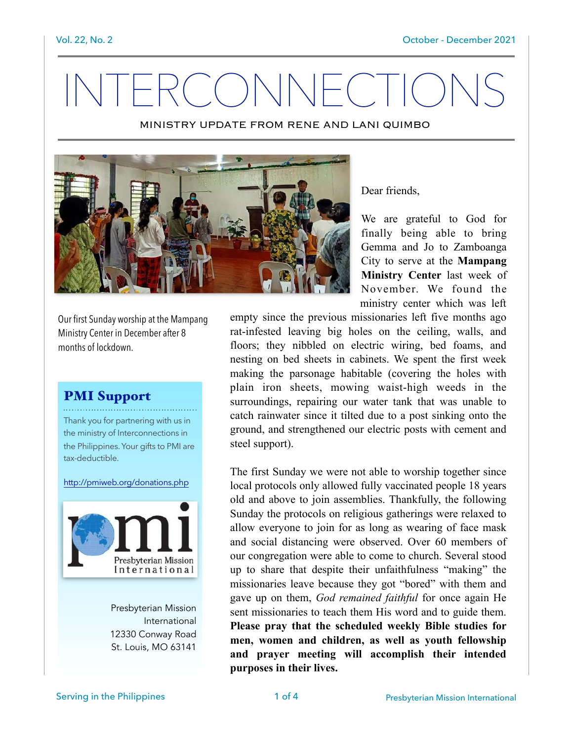# INTERCONNECTIO

MINISTRY UPDATE FROM RENE AND LANI QUIMBO



Dear friends,

We are grateful to God for finally being able to bring Gemma and Jo to Zamboanga City to serve at the Mampang Ministry Center last week of November. We found the ministry center which was left

Our first Sunday worship at the Mampang Ministry Center in December after 8 months of lockdown.

#### PMI Support

Thank you for partnering with us in the ministry of Interconnections in the Philippines. Your gifts to PMI are tax-deductible.

http://pmiweb.org/donations.php



Presbyterian Mission International 12330 Conway Road St. Louis, MO 63141

empty since the previous missionaries left five months ago rat-infested leaving big holes on the ceiling, walls, and floors; they nibbled on electric wiring, bed foams, and nesting on bed sheets in cabinets. We spent the first week making the parsonage habitable (covering the holes with plain iron sheets, mowing waist-high weeds in the surroundings, repairing our water tank that was unable to catch rainwater since it tilted due to a post sinking onto the ground, and strengthened our electric posts with cement and steel support).

The first Sunday we were not able to worship together since local protocols only allowed fully vaccinated people 18 years old and above to join assemblies. Thankfully, the following Sunday the protocols on religious gatherings were relaxed to allow everyone to join for as long as wearing of face mask and social distancing were observed. Over 60 members of our congregation were able to come to church. Several stood up to share that despite their unfaithfulness "making" the missionaries leave because they got "bored" with them and gave up on them, *God remained faithful* for once again He sent missionaries to teach them His word and to guide them. Please pray that the scheduled weekly Bible studies for men, women and children, as well as youth fellowship and prayer meeting will accomplish their intended purposes in their lives.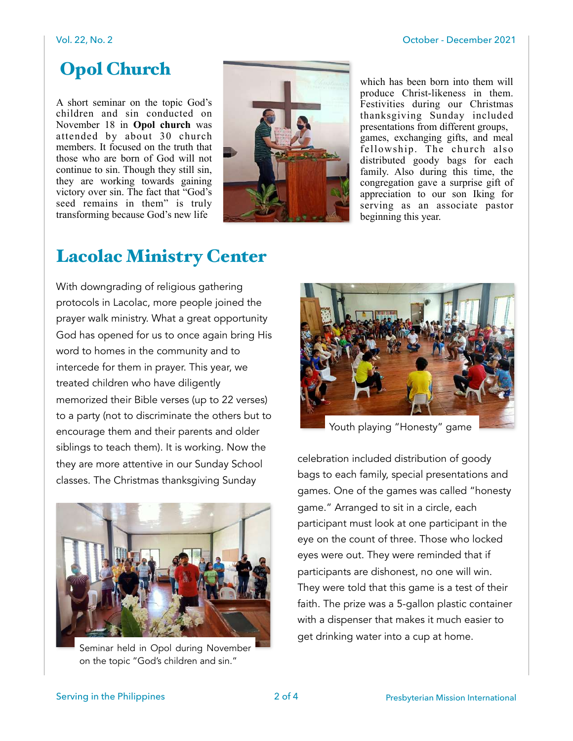## Opol Church

A short seminar on the topic God's children and sin conducted on November 18 in Opol church was attended by about 30 church members. It focused on the truth that those who are born of God will not continue to sin. Though they still sin, they are working towards gaining victory over sin. The fact that "God's seed remains in them" is truly transforming because God's new life



which has been born into them will produce Christ-likeness in them. Festivities during our Christmas thanksgiving Sunday included presentations from different groups, games, exchanging gifts, and meal fellowship. The church also distributed goody bags for each family. Also during this time, the congregation gave a surprise gift of appreciation to our son Iking for serving as an associate pastor beginning this year.

### Lacolac Ministry Center

With downgrading of religious gathering protocols in Lacolac, more people joined the prayer walk ministry. What a great opportunity God has opened for us to once again bring His word to homes in the community and to intercede for them in prayer. This year, we treated children who have diligently memorized their Bible verses (up to 22 verses) to a party (not to discriminate the others but to encourage them and their parents and older siblings to teach them). It is working. Now the they are more attentive in our Sunday School classes. The Christmas thanksgiving Sunday



Seminar held in Opol during November on the topic "God's children and sin."



Youth playing "Honesty" game

celebration included distribution of goody bags to each family, special presentations and games. One of the games was called "honesty game." Arranged to sit in a circle, each participant must look at one participant in the eye on the count of three. Those who locked eyes were out. They were reminded that if participants are dishonest, no one will win. They were told that this game is a test of their faith. The prize was a 5-gallon plastic container with a dispenser that makes it much easier to get drinking water into a cup at home.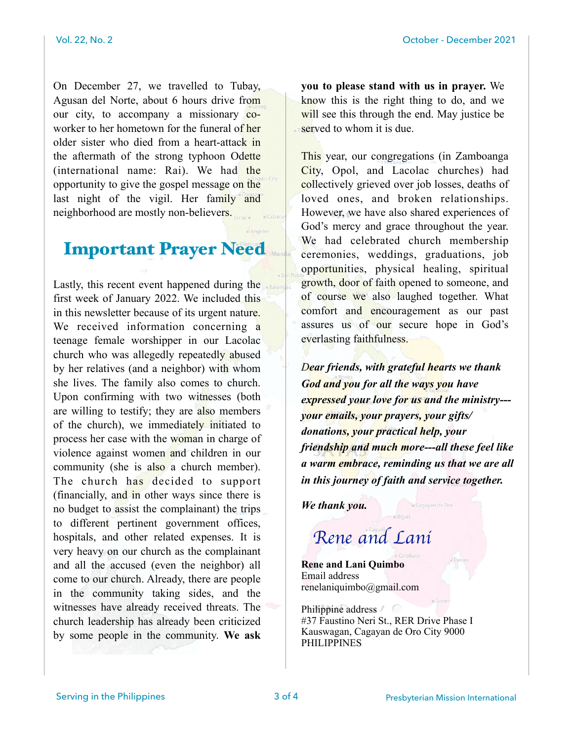On December 27, we travelled to Tubay, Agusan del Norte, about 6 hours drive from our city, to accompany a missionary coworker to her hometown for the funeral of her older sister who died from a heart-attack in the aftermath of the strong typhoon Odette (international name: Rai). We had the opportunity to give the gospel message on the last night of the vigil. Her family and neighborhood are mostly non-believers.

#### Important Prayer Need

Lastly, this recent event happened during the first week of January 2022. We included this in this newsletter because of its urgent nature. We received information concerning a teenage female worshipper in our Lacolac church who was allegedly repeatedly abused by her relatives (and a neighbor) with whom she lives. The family also comes to church. Upon confirming with two witnesses (both are willing to testify; they are also members of the church), we immediately initiated to process her case with the woman in charge of violence against women and children in our community (she is also a church member). The church has decided to support (financially, and in other ways since there is no budget to assist the complainant) the trips to different pertinent government offices, hospitals, and other related expenses. It is very heavy on our church as the complainant and all the accused (even the neighbor) all come to our church. Already, there are people in the community taking sides, and the witnesses have already received threats. The church leadership has already been criticized by some people in the community. We ask

you to please stand with us in prayer. We know this is the right thing to do, and we will see this through the end. May justice be served to whom it is due.

This year, our congregations (in Zamboanga City, Opol, and Lacolac churches) had collectively grieved over job losses, deaths of loved ones, and broken relationships. However, we have also shared experiences of God's mercy and grace throughout the year. We had celebrated church membership ceremonies, weddings, graduations, job opportunities, physical healing, spiritual growth, door of faith opened to someone, and of course we also laughed together. What comfort and encouragement as our past assures us of our secure hope in God's everlasting faithfulness.

*Dear friends, with grateful hearts we thank God and you for all the ways you have expressed your love for us and the ministry-- your emails, your prayers, your gifts/ donations, your practical help, your friendship and much more---all these feel like a warm embrace, reminding us that we are all in this journey of faith and service together.* 

*We thank you.* 

# *Rene and Lani*

Rene and Lani Quimbo Email address renelaniquimbo@gmail.com

Philippine address / #37 Faustino Neri St., RER Drive Phase I Kauswagan, Cagayan de Oro City 9000 PHILIPPINES